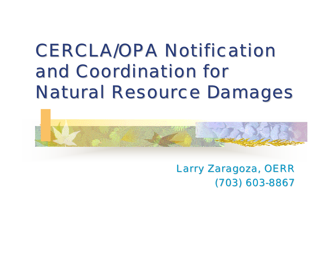## **CERCLA/OPA Notification** and Coordination for **Natural Resource Damages**



Larry Zaragoza, OERR (703) 603-8867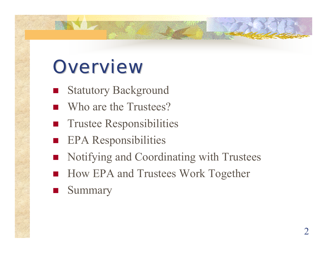## **Overview**

- Statutory Background
- Who are the Trustees?
- $\mathcal{L}(\mathcal{L})$  and  $\mathcal{L}(\mathcal{L})$  and  $\mathcal{L}(\mathcal{L})$ Trustee Responsibilities
- EPA Responsibilities
- Notifying and Coordinating with Trustees
- How EPA and Trustees Work Together
- Summary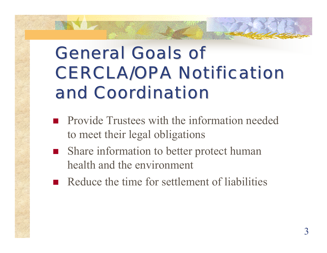## **General Goals of CERCLA/OPA Notification** and Coordination

- **Provide Trustees with the information needed** to meet their legal obligations
- Share information to better protect human health and the environment
- Reduce the time for settlement of liabilities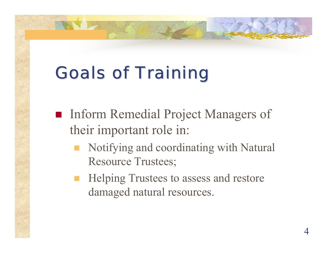## **Goals of Training**

- **Inform Remedial Project Managers of** their important role in:
	- Notifying and coordinating with Natural Resource Trustees;
	- **Helping Trustees to assess and restore** damaged natural resources.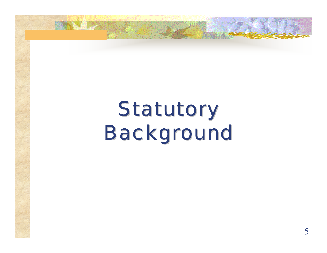# Statutory **Background**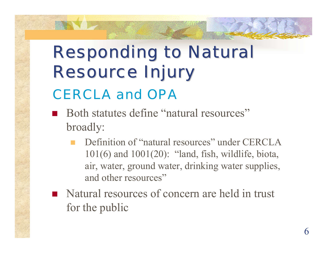## **Responding to Natural Resource Injury** CERCLA and OPA

- Both statutes define "natural resources" broadly:
	- Definition of "natural resources" under CERCLA 101(6) and 1001(20): "land, fish, wildlife, biota, air, water, ground water, drinking water supplies, and other resources"
- Natural resources of concern are held in trust for the public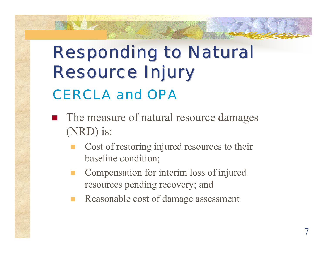## **Responding to Natural Resource Injury** CERCLA and OPA

- The measure of natural resource damages (NRD) is:
	- Cost of restoring injured resources to their baseline condition;
	- r. Compensation for interim loss of injured resources pending recovery; and
	- Reasonable cost of damage assessment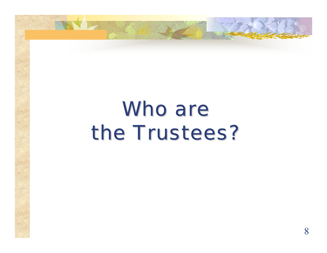## Who are the Trustees?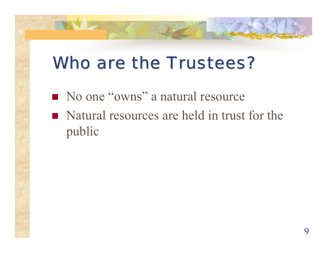## Who are the Trustees?

- No one "owns" a natural resource
- Natural resources are held in trust for the public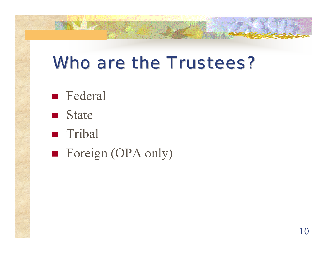### Who are the Trustees?

- **Federal**
- **State**
- **Tribal**
- Foreign (OPA only)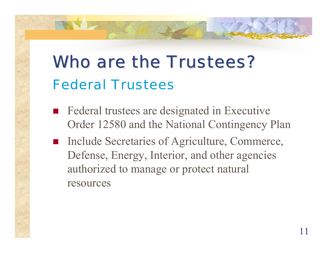## Who are the Trustees? Federal Trustees

- **Federal trustees are designated in Executive** Order 12580 and the National Contingency Plan
- Include Secretaries of Agriculture, Commerce, Defense, Energy, Interior, and other agencies authorized to manage or protect natural resources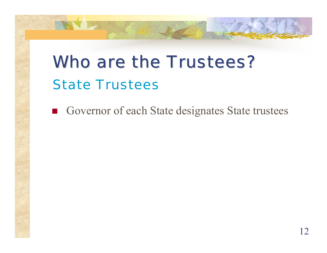## Who are the Trustees? State Trustees

Governor of each State designates State trustees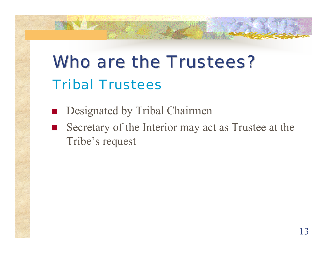## Who are the Trustees? Tribal Trustees

- **Designated by Tribal Chairmen**
- Secretary of the Interior may act as Trustee at the Tribe's request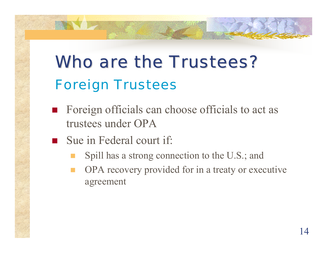## Who are the Trustees? Foreign Trustees

- **Foreign officials can choose officials to act as** trustees under OPA
- Sue in Federal court if:
	- Spill has a strong connection to the U.S.; and
	- OPA recovery provided for in a treaty or executive agreement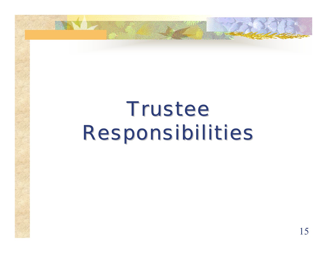# **Trustee** Responsibilities Responsibilities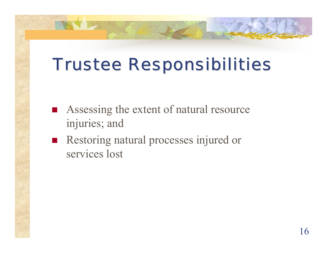## Trustee Responsibilities Trustee Responsibilities

- Assessing the extent of natural resource injuries; and
- Restoring natural processes injured or services lost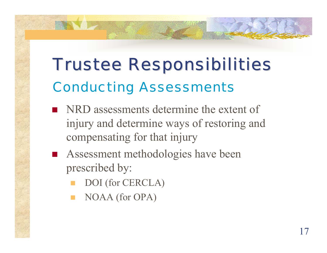## Trustee Responsibilities Trustee Responsibilities Conducting Assessments

- **NRD** assessments determine the extent of injury and determine ways of restoring and compensating for that injury
- **Assessment methodologies have been** prescribed by:
	- T. DOI (for CERCLA)
	- T. NOAA (for OPA)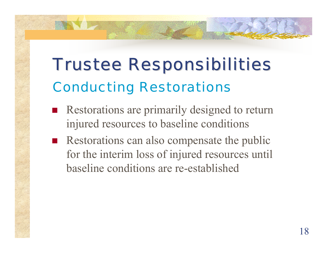## Trustee Responsibilities Trustee Responsibilities Conducting Restorations

- Restorations are primarily designed to return injured resources to baseline conditions
- Restorations can also compensate the public for the interim loss of injured resources until baseline conditions are re-established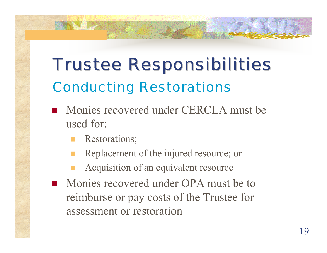## Trustee Responsibilities Trustee Responsibilities Conducting Restorations

- **Monies recovered under CERCLA must be** used for:
	- Restorations;
	- Replacement of the injured resource; or
	- Acquisition of an equivalent resource
- Monies recovered under OPA must be to reimburse or pay costs of the Trustee for assessment or restoration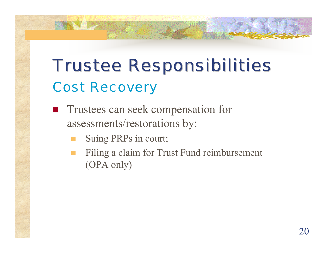## Trustee Responsibilities Trustee Responsibilities Cost Recovery

- **Trustees can seek compensation for** assessments/restorations by:
	- Suing PRPs in court;
	- Filing a claim for Trust Fund reimbursement (OPA only)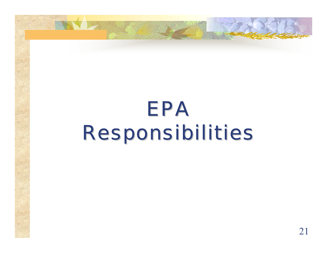# EPA Responsibilities Responsibilities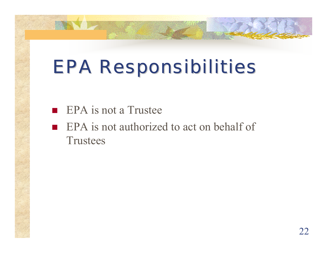## **EPA Responsibilities**

- $\blacksquare$  EPA is not a Trustee
- **EPA** is not authorized to act on behalf of **Trustees**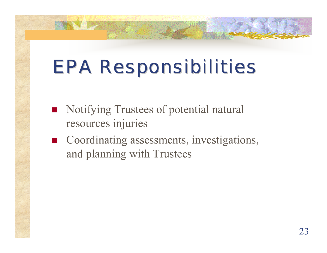## **EPA Responsibilities**

- Notifying Trustees of potential natural resources injuries
- Coordinating assessments, investigations, and planning with Trustees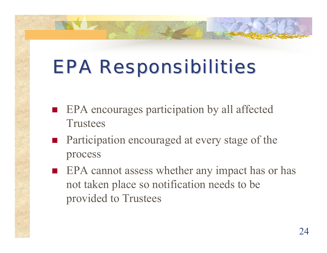## **EPA Responsibilities**

- **EPA** encourages participation by all affected **Trustees**
- **Participation encouraged at every stage of the** process
- **EPA** cannot assess whether any impact has or has not taken place so notification needs to be provided to Trustees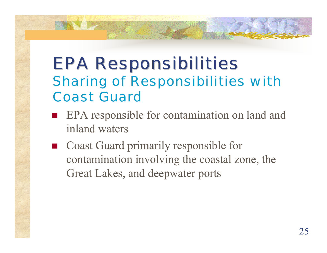#### **EPA Responsibilities** Sharing of Responsibilities with Coast Guard

- **EPA** responsible for contamination on land and inland waters
- Coast Guard primarily responsible for contamination involving the coastal zone, the Great Lakes, and deepwater ports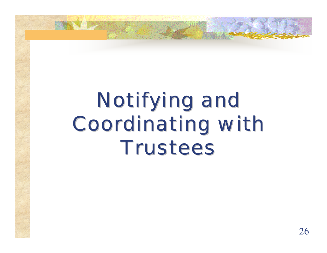# Notifying and Coordinating with Coordinating with **Trustees**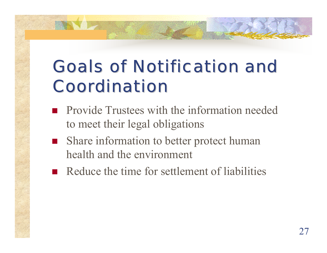## Goals of Notification and Goals of Notification and **Coordination**

- **Provide Trustees with the information needed** to meet their legal obligations
- Share information to better protect human health and the environment
- Reduce the time for settlement of liabilities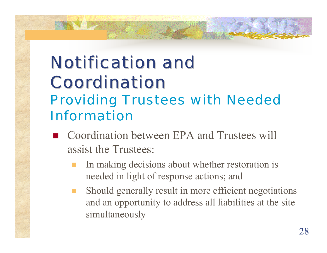#### **Notification and Coordination** Providing Trustees with Needed Information

- Coordination between EPA and Trustees will assist the Trustees:
	- In making decisions about whether restoration is needed in light of response actions; and
	- Should generally result in more efficient negotiations and an opportunity to address all liabilities at the site simultaneously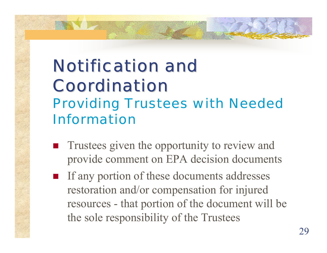#### **Notification and Coordination** Providing Trustees with Needed Information

- Trustees given the opportunity to review and provide comment on EPA decision documents
- If any portion of these documents addresses restoration and/or compensation for injured resources - that portion of the document will be the sole responsibility of the Trustees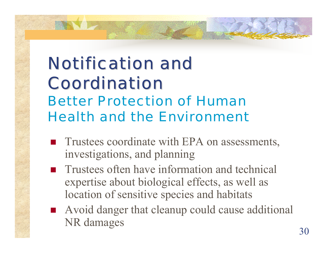#### **Notification and Coordination** Better Protection of Human Health and the Environment

- **Trustees coordinate with EPA on assessments,** investigations, and planning
- **T** Trustees often have information and technical expertise about biological effects, as well as location of sensitive species and habitats
- Avoid danger that cleanup could cause additional NR damages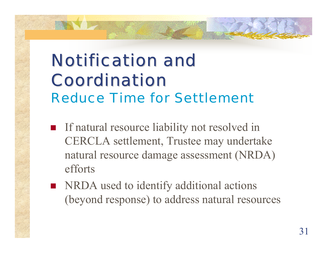## **Notification and Coordination** Reduce Time for Settlement

- **If natural resource liability not resolved in** CERCLA settlement, Trustee may undertake natural resource damage assessment (NRDA) efforts
- **NRDA** used to identify additional actions (beyond response) to address natural resources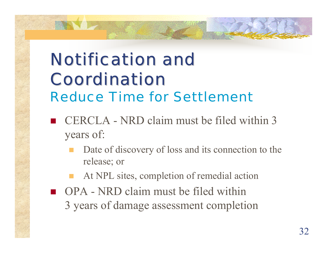## Notification and **Coordination** Reduce Time for Settlement

- CERCLA NRD claim must be filed within 3 years of:
	- Date of discovery of loss and its connection to the release; or
	- At NPL sites, completion of remedial action
- **OPA** NRD claim must be filed within 3 years of damage assessment completion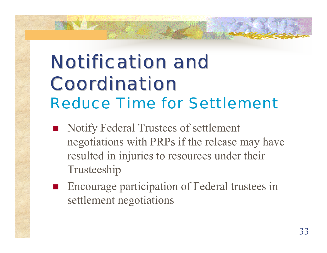## **Notification and Coordination** Reduce Time for Settlement

- Notify Federal Trustees of settlement negotiations with PRPs if the release may have resulted in injuries to resources under their Trusteeship
- **Encourage participation of Federal trustees in** settlement negotiations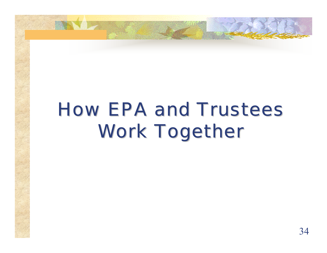## How EPA and Trustees Work Together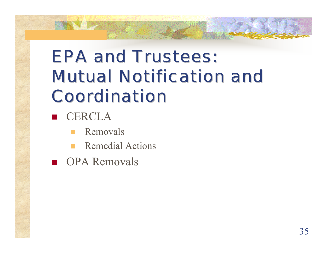## **EPA and Trustees: Mutual Notification and Coordination**

- CERCLA
	- Removals
	- Remedial Actions
- **OPA Removals**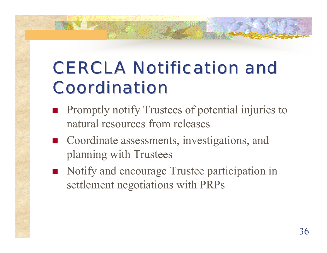## **CERCLA Notification and Coordination**

- **Promptly notify Trustees of potential injuries to** natural resources from releases
- Coordinate assessments, investigations, and planning with Trustees
- Notify and encourage Trustee participation in settlement negotiations with PRPs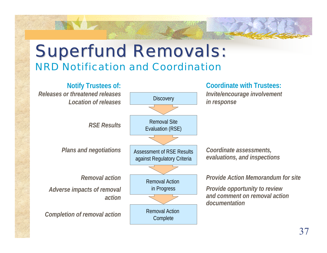#### **Superfund Removals:** NRD Notification and Coordination

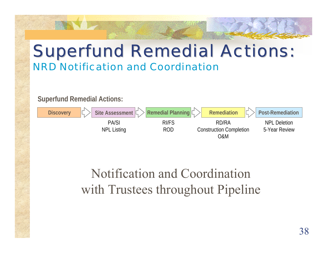#### **Superfund Remedial Actions:**



#### Notification and Coordination with Trustees throughout Pipeline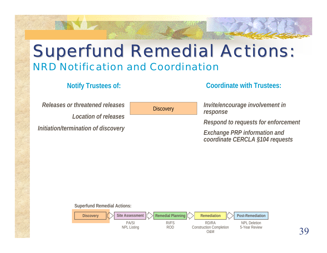*Releases or threatened releases*

*Location of releases*

*Initiation/termination of discovery*

**Discovery** 

**Notify Trustees of: Coordinate with Trustees:**

*Invite/encourage involvement in response*

*Respond to requests for enforcement*

*Exchange PRP information and coordinate CERCLA §104 requests*

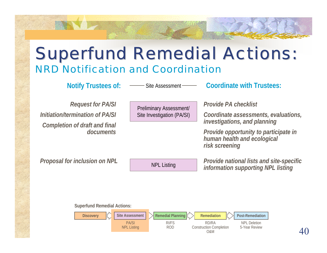Site Assessment

**Notify Trustees of:**  $\qquad \qquad$  Site Assessment  $\qquad \qquad$  **Coordinate with Trustees:** 

*Request for PA/SI Initiation/termination of PA/SI Completion of draft and final documents*

Preliminary Assessment/ Site Investigation (PA/SI) *Provide PA checklist*

*Coordinate assessments, evaluations, investigations, and planning*

*Provide opportunity to participate in human health and ecological risk screening*

Proposal for inclusion on NPL **NPL** NPL Listing *Provide national lists and site-specific*<br>*information supporting NPL listing* 

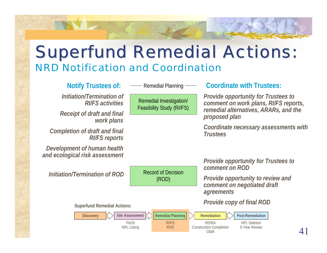*Initiation/Termination of RI/FS activities*

*Receipt of draft and final work plans*

*Completion of draft and final RI/FS reports*

*Development of human health and ecological risk assessment*

*Initiation/Termination of ROD*

**Superfund Remedial Actions:**

Remedial Planning

Remedial Investi gation/ Feasibility Study (RI/F S)

Record of Decision (ROD)

#### Notify Trustees of:  $\qquad \qquad$  Remedial Planning  $\qquad \qquad$  Coordinate with Trustees:

*Provide opportunity for Trustees to comment on wor k plans, RI/FS r eports, remedial alternatives, ARARs, and the proposed plan*

*Coordinate necessary assessments with Trustees*

*Provide opportunity for Trustees to comment on ROD*

*Provide opportunity to review and comment on negotiated draft agreements*

*Provide copy of final ROD*

**Discovery**  $\begin{bmatrix} \end{bmatrix}$  Site Assessment  $\begin{bmatrix} \end{bmatrix}$  Remedial Planning  $\begin{bmatrix} \end{bmatrix}$  Remediation  $\begin{bmatrix} \end{bmatrix}$  Post-Remediation **Remediation** PA/SINPL Listing RI/FSRODRD/RAConstruction Completion O&MNPL Deletion5-Year Review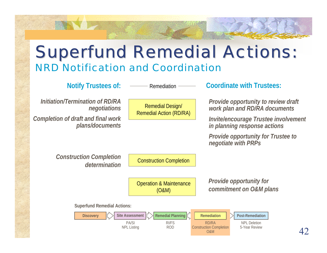Remediation

*Initiation/Termination of RD/RA negotiations Completion of draft and final wor k plans/documents*

Remedial D esign/ Remedial Action (RD/R A)

**Notify Trustees of:**  $\qquad \qquad$  Remediation  $\qquad \qquad$  **Coordinate with Trustees:** 

*Provide opportunity to review draft work plan and RD/RA documents*

*Invite/encourage Trustee involvement in planning response actions*

*Provide opportunity for Trustee to negotiate with PRPs*

*Construction Completion determination*

Construction Completion

Operation & Maintenance (O&M)

*Provide opportunity for commitment on O&M plans*



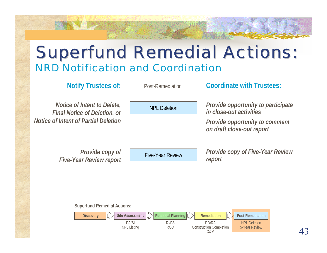Post-Remediation

**Notify Trustees of:**  $\qquad \qquad \text{Post-Remediation} \qquad \qquad \text{Coordinate with Trustees:}$ 

*Notice of Intent to Delete, Final Notice of Deletion, or Notice of Intent of Partial Deletion*

NPL Deletion

*Provide opportunity to participate in close-out activities*

*Provide opportunity to comment on draft close-out report*

*Provide copy of Five-Year Review r eport*

Five-Year Review

*Provide copy of Five-Year Review report*

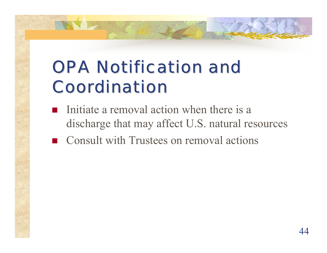## **OPA Notification and Coordination**

- **Initiate a removal action when there is a** discharge that may affect U.S. natural resources
- **Consult with Trustees on removal actions**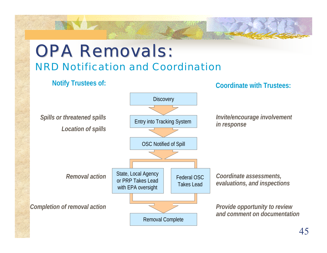#### **OPA Removals:** NRD Notification and Coordination

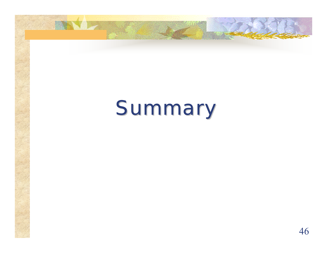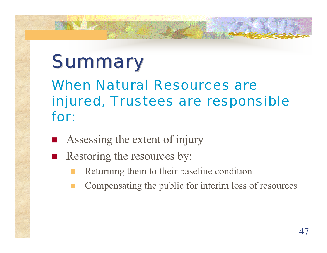## **Summary** When Natural Resources are injured, Trustees are responsible for:

- **Assessing the extent of injury**
- Restoring the resources by:
	- Returning them to their baseline condition
	- Compensating the public for interim loss of resources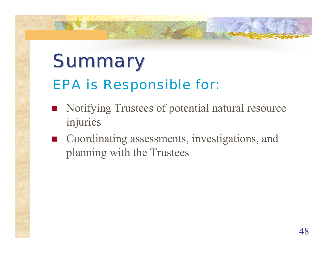## **Summary** EPA is Responsible for:

- Notifying Trustees of potential natural resource injuries
- Coordinating assessments, investigations, and planning with the Trustees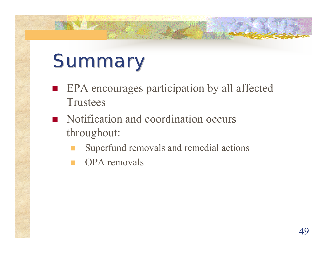## **Summary**

- **EPA** encourages participation by all affected **Trustees**
- Notification and coordination occurs throughout:
	- Superfund removals and remedial actions
	- OPA removals